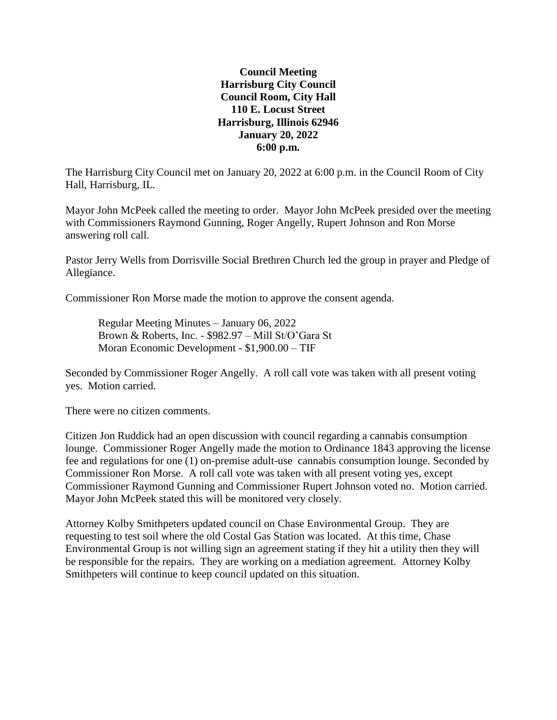## **Council Meeting Harrisburg City Council Council Room, City Hall 110 E. Locust Street Harrisburg, Illinois 62946 January 20, 2022 6:00 p.m.**

The Harrisburg City Council met on January 20, 2022 at 6:00 p.m. in the Council Room of City Hall, Harrisburg, IL.

Mayor John McPeek called the meeting to order. Mayor John McPeek presided over the meeting with Commissioners Raymond Gunning, Roger Angelly, Rupert Johnson and Ron Morse answering roll call.

Pastor Jerry Wells from Dorrisville Social Brethren Church led the group in prayer and Pledge of Allegiance.

Commissioner Ron Morse made the motion to approve the consent agenda.

Regular Meeting Minutes – January 06, 2022 Brown & Roberts, Inc. - \$982.97 – Mill St/O'Gara St Moran Economic Development - \$1,900.00 – TIF

Seconded by Commissioner Roger Angelly. A roll call vote was taken with all present voting yes. Motion carried.

There were no citizen comments.

Citizen Jon Ruddick had an open discussion with council regarding a cannabis consumption lounge. Commissioner Roger Angelly made the motion to Ordinance 1843 approving the license fee and regulations for one (1) on-premise adult-use cannabis consumption lounge. Seconded by Commissioner Ron Morse. A roll call vote was taken with all present voting yes, except Commissioner Raymond Gunning and Commissioner Rupert Johnson voted no. Motion carried. Mayor John McPeek stated this will be monitored very closely.

Attorney Kolby Smithpeters updated council on Chase Environmental Group. They are requesting to test soil where the old Costal Gas Station was located. At this time, Chase Environmental Group is not willing sign an agreement stating if they hit a utility then they will be responsible for the repairs. They are working on a mediation agreement. Attorney Kolby Smithpeters will continue to keep council updated on this situation.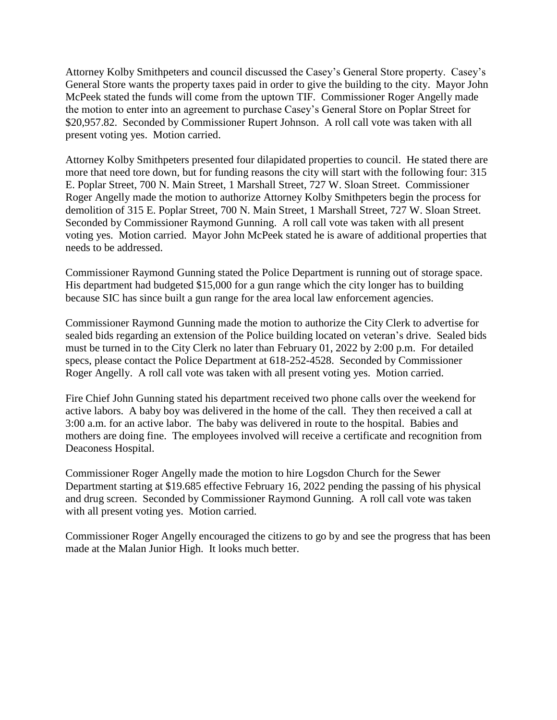Attorney Kolby Smithpeters and council discussed the Casey's General Store property. Casey's General Store wants the property taxes paid in order to give the building to the city. Mayor John McPeek stated the funds will come from the uptown TIF. Commissioner Roger Angelly made the motion to enter into an agreement to purchase Casey's General Store on Poplar Street for \$20,957.82. Seconded by Commissioner Rupert Johnson. A roll call vote was taken with all present voting yes. Motion carried.

Attorney Kolby Smithpeters presented four dilapidated properties to council. He stated there are more that need tore down, but for funding reasons the city will start with the following four: 315 E. Poplar Street, 700 N. Main Street, 1 Marshall Street, 727 W. Sloan Street. Commissioner Roger Angelly made the motion to authorize Attorney Kolby Smithpeters begin the process for demolition of 315 E. Poplar Street, 700 N. Main Street, 1 Marshall Street, 727 W. Sloan Street. Seconded by Commissioner Raymond Gunning. A roll call vote was taken with all present voting yes. Motion carried. Mayor John McPeek stated he is aware of additional properties that needs to be addressed.

Commissioner Raymond Gunning stated the Police Department is running out of storage space. His department had budgeted \$15,000 for a gun range which the city longer has to building because SIC has since built a gun range for the area local law enforcement agencies.

Commissioner Raymond Gunning made the motion to authorize the City Clerk to advertise for sealed bids regarding an extension of the Police building located on veteran's drive. Sealed bids must be turned in to the City Clerk no later than February 01, 2022 by 2:00 p.m. For detailed specs, please contact the Police Department at 618-252-4528. Seconded by Commissioner Roger Angelly. A roll call vote was taken with all present voting yes. Motion carried.

Fire Chief John Gunning stated his department received two phone calls over the weekend for active labors. A baby boy was delivered in the home of the call. They then received a call at 3:00 a.m. for an active labor. The baby was delivered in route to the hospital. Babies and mothers are doing fine. The employees involved will receive a certificate and recognition from Deaconess Hospital.

Commissioner Roger Angelly made the motion to hire Logsdon Church for the Sewer Department starting at \$19.685 effective February 16, 2022 pending the passing of his physical and drug screen. Seconded by Commissioner Raymond Gunning. A roll call vote was taken with all present voting yes. Motion carried.

Commissioner Roger Angelly encouraged the citizens to go by and see the progress that has been made at the Malan Junior High. It looks much better.